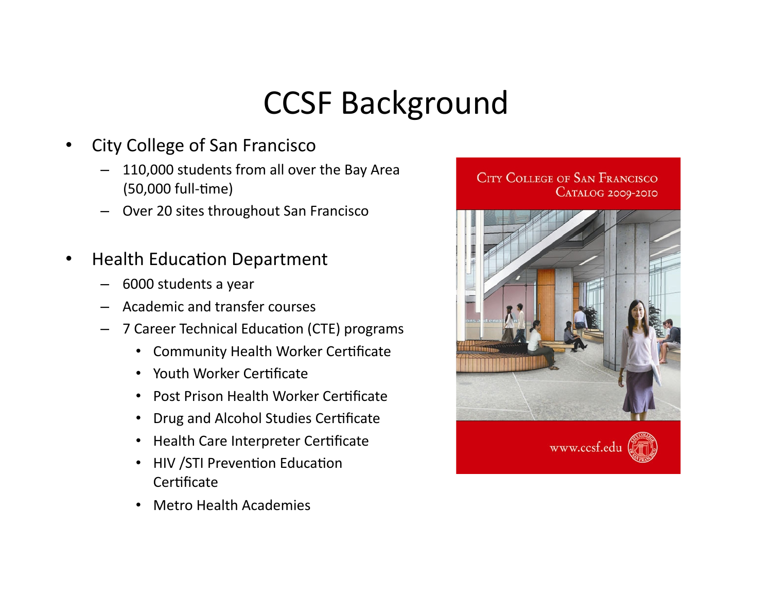# **CCSF Background**

- City College of San Francisco
	- 110,000 students from all over the Bay Area (50,000 full-time)
	- Over 20 sites throughout San Francisco
- Health Education Department
	- $-$  6000 students a year
	- Academic and transfer courses
	- 7 Career Technical Education (CTE) programs
		- Community Health Worker Certificate
		- Youth Worker Certificate
		- Post Prison Health Worker Certificate
		- Drug and Alcohol Studies Certificate
		- Health Care Interpreter Certificate
		- HIV / STI Prevention Education Certificate
		- Metro Health Academies

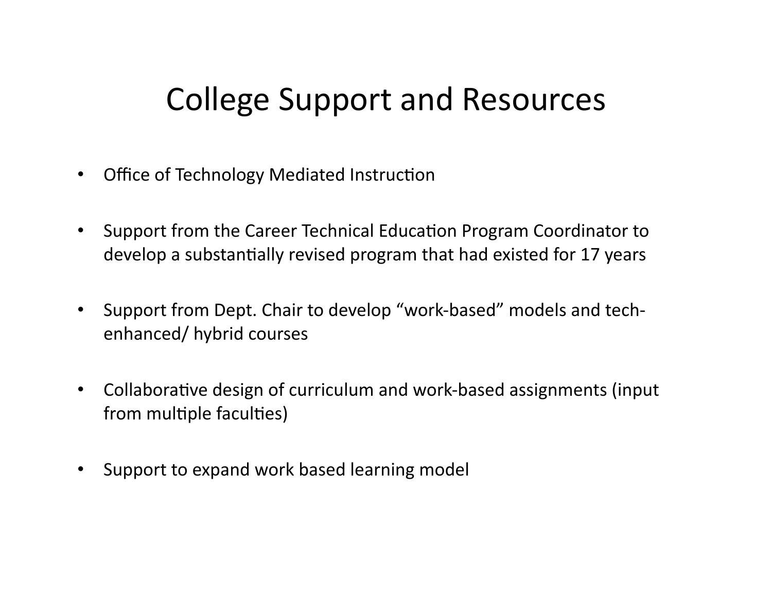### College Support and Resources

- Office of Technology Mediated Instruction
- Support from the Career Technical Education Program Coordinator to develop a substantially revised program that had existed for 17 years
- Support from Dept. Chair to develop "work-based" models and techenhanced/ hybrid courses
- Collaborative design of curriculum and work-based assignments (input from multiple faculties)
- Support to expand work based learning model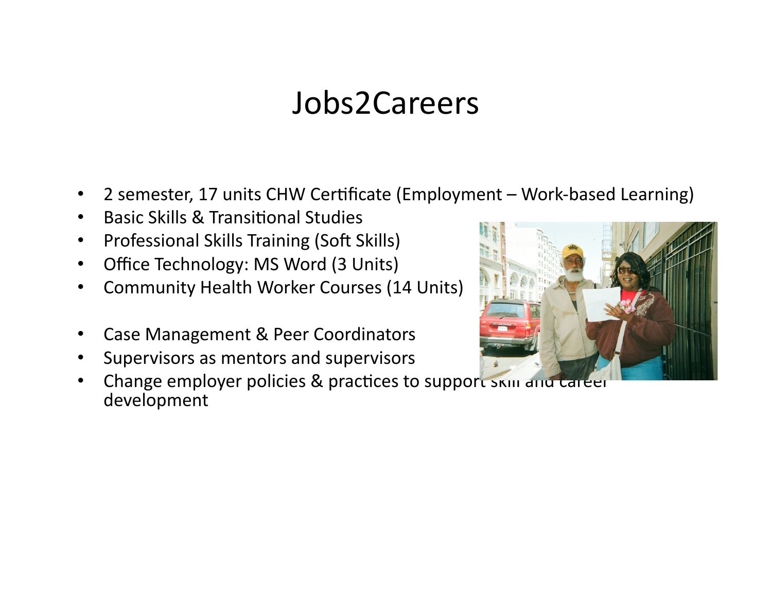#### Jobs2Careers

- 2 semester, 17 units CHW Certificate (Employment Work-based Learning)  $\bullet$
- **Basic Skills & Transitional Studies**
- **Professional Skills Training (Soft Skills)**  $\bullet$
- Office Technology: MS Word (3 Units)  $\bullet$
- **Community Health Worker Courses (14 Units)**
- Case Management & Peer Coordinators  $\bullet$
- Supervisors as mentors and supervisors  $\bullet$
- Change employer policies & practices to support SKIII and Career  $\bullet$ development

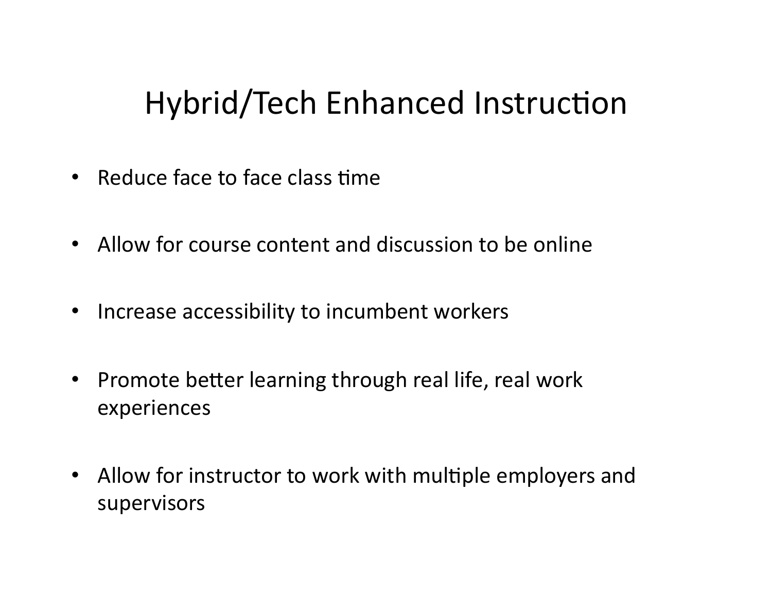## Hybrid/Tech Enhanced Instruction

- Reduce face to face class time
- Allow for course content and discussion to be online
- Increase accessibility to incumbent workers
- Promote better learning through real life, real work experiences
- Allow for instructor to work with multiple employers and supervisors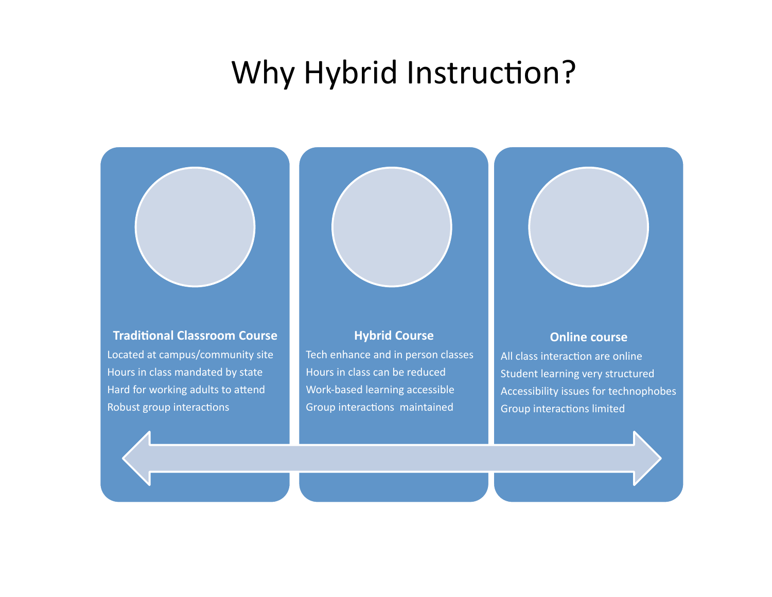#### Why Hybrid Instruction?